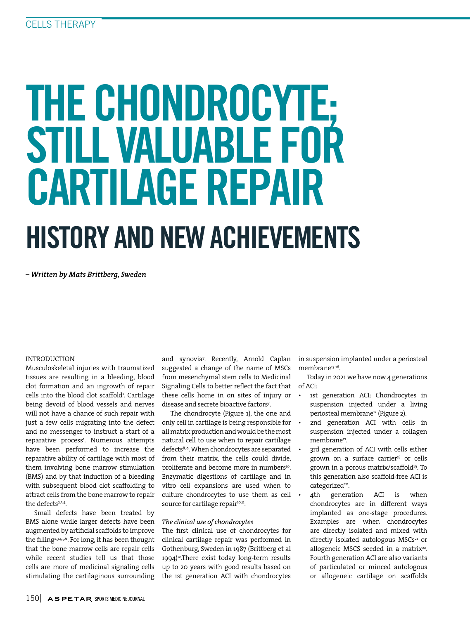# THE CHONDROCYTE; STILL VALUABLE FOR CARTILAGE REPAIR HISTORY AND NEW ACHIEVEMENTS

*– Written by Mats Brittberg, Sweden*

### INTRODUCTION

Musculoskeletal injuries with traumatized tissues are resulting in a bleeding, blood clot formation and an ingrowth of repair cells into the blood clot scaffold<sup>1</sup>. Cartilage being devoid of blood vessels and nerves will not have a chance of such repair with just a few cells migrating into the defect and no messenger to instruct a start of a reparative process1 . Numerous attempts have been performed to increase the reparative ability of cartilage with most of them involving bone marrow stimulation (BMS) and by that induction of a bleeding with subsequent blood clot scaffolding to attract cells from the bone marrow to repair the defects<sup>2,3,4</sup>.

Small defects have been treated by BMS alone while larger defects have been augmented by artificial scaffolds to improve the filling<sup>2,3,4,5,6</sup>. For long, it has been thought that the bone marrow cells are repair cells while recent studies tell us that those cells are more of medicinal signaling cells stimulating the cartilaginous surrounding

and synovia7 . Recently, Arnold Caplan suggested a change of the name of MSCs from mesenchymal stem cells to Medicinal Signaling Cells to better reflect the fact that of ACI: these cells home in on sites of injury or disease and secrete bioactive factors7 .

The chondrocyte (Figure 1), the one and only cell in cartilage is being responsible for all matrix production and would be the most natural cell to use when to repair cartilage defects<sup>8, 9</sup>. When chondrocytes are separated from their matrix, the cells could divide, proliferate and become more in numbers<sup>10</sup>. Enzymatic digestions of cartilage and in vitro cell expansions are used when to culture chondrocytes to use them as cell source for cartilage repair<sup>10,11</sup>.

#### *The clinical use of chondrocytes*

The first clinical use of chondrocytes for clinical cartilage repair was performed in Gothenburg, Sweden in 1987 (Brittberg et al 1994)<sup>12</sup>.There exist today long-term results up to 20 years with good results based on the 1st generation ACI with chondrocytes in suspension implanted under a periosteal membrane<sup>13-16</sup>.

Today in 2021 we have now 4 generations

- 1st generation ACI: Chondrocytes in suspension injected under a living periosteal membrane<sup>12</sup> (Figure 2).
- 2nd generation ACI with cells in suspension injected under a collagen membrane<sup>17</sup>.
- 3rd generation of ACI with cells either grown on a surface carrier<sup>18</sup> or cells grown in a porous matrix/scaffold<sup>19</sup>. To this generation also scaffold-free ACI is categorized<sup>20</sup>.
- 4th generation ACI is when chondrocytes are in different ways implanted as one-stage procedures. Examples are when chondrocytes are directly isolated and mixed with directly isolated autologous MSCs<sup>21</sup> or allogeneic MSCS seeded in a matrix<sup>22</sup>. Fourth generation ACI are also variants of particulated or minced autologous or allogeneic cartilage on scaffolds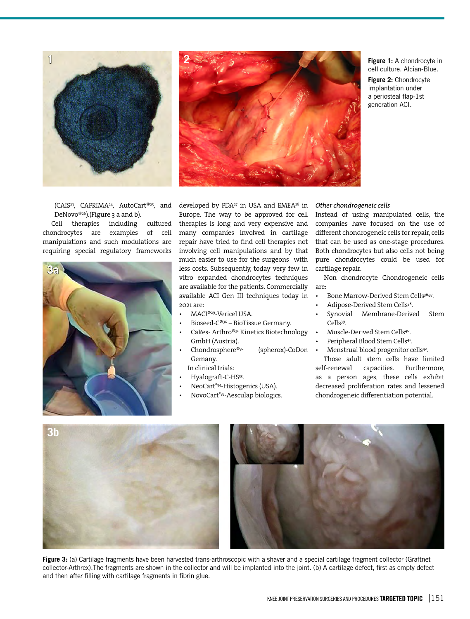

(CAIS23, CAFRIMA24, AutoCart®25, and DeNovo®<sup>26</sup>).(Figure 3 a and b).

Cell therapies including cultured chondrocytes are examples of cell manipulations and such modulations are requiring special regulatory frameworks





**Figure 1:** A chondrocyte in cell culture. Alcian-Blue.

**Figure 2:** Chondrocyte implantation under a periosteal flap-1st generation ACI.

developed by FDA<sup>27</sup> in USA and EMEA<sup>28</sup> in Europe. The way to be approved for cell therapies is long and very expensive and many companies involved in cartilage repair have tried to find cell therapies not involving cell manipulations and by that much easier to use for the surgeons with less costs. Subsequently, today very few in vitro expanded chondrocytes techniques are available for the patients. Commercially available ACI Gen III techniques today in 2021 are:

- MACI®29-Vericel USA.
- Bioseed-C®30 BioTissue Germany.
- CaRes- Arthro®31 Kinetics Biotechnology GmbH (Austria).
- Chondrosphere®32 (spherox)-CoDon Gemany.
- In clinical trials:
- Hyalograft-C-HS33.
- NeoCart®34-Histogenics (USA).
- NovoCart®35-Aesculap biologics.

#### *Other chondrogeneic cells*

Instead of using manipulated cells, the companies have focused on the use of different chondrogeneic cells for repair, cells that can be used as one-stage procedures. Both chondrocytes but also cells not being pure chondrocytes could be used for cartilage repair.

Non chondrocyte Chondrogeneic cells are:

- Bone Marrow-Derived Stem Cells<sup>36,37</sup>.
- Adipose-Derived Stem Cells<sup>38</sup>.
- Synovial Membrane-Derived Stem Cells39.
- Muscle-Derived Stem Cells<sup>40</sup>.
- Peripheral Blood Stem Cells<sup>41</sup>.
- Menstrual blood progenitor cells<sup>42</sup>.

Those adult stem cells have limited self-renewal capacities. Furthermore, as a person ages, these cells exhibit decreased proliferation rates and lessened chondrogeneic differentiation potential.



**Figure 3:** (a) Cartilage fragments have been harvested trans-arthroscopic with a shaver and a special cartilage fragment collector (Graftnet collector-Arthrex).The fragments are shown in the collector and will be implanted into the joint. (b) A cartilage defect, first as empty defect and then after filling with cartilage fragments in fibrin glue.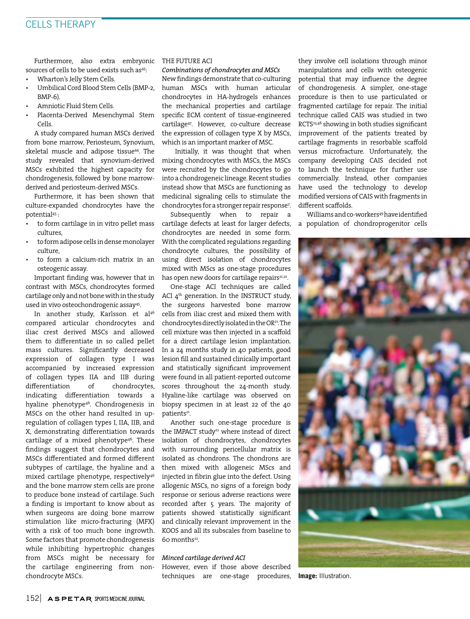Furthermore, also extra embryonic sources of cells to be used exists such as<sup>43</sup>:

- Wharton's Jelly Stem Cells.
- Umbilical Cord Blood Stem Cells (BMP-2,  $RMP-6$
- Amniotic Fluid Stem Cells.
- Placenta-Derived Mesenchymal Stem Cells.

A study compared human MSCs derived from bone marrow, Periosteum, Synovium, skeletal muscle and adipose tissue<sup>44</sup>. The study revealed that synovium-derived MSCs exhibited the highest capacity for chondrogenesis, followed by bone marrowderived and periosteum-derived MSCs.

Furthermore, it has been shown that culture-expanded chondrocytes have the potential45 :

- to form cartilage in in vitro pellet mass cultures,
- to form adipose cells in dense monolayer culture,
- to form a calcium-rich matrix in an osteogenic assay.

Important finding was, however that in contrast with MSCs, chondrocytes formed cartilage only and not bone with in the study used in vivo osteochondrogenic assay45.

In another study, Karlsson et al<sup>46</sup> compared articular chondrocytes and iliac crest derived MSCs and allowed them to differentiate in so called pellet mass cultures. Significantly decreased expression of collagen type I was accompanied by increased expression of collagen types IIA and IIB during differentiation of chondrocytes, indicating differentiation towards a hyaline phenotype<sup>46</sup>. Chondrogenesis in MSCs on the other hand resulted in upregulation of collagen types I, IIA, IIB, and X, demonstrating differentiation towards cartilage of a mixed phenotype $46$ . These findings suggest that chondrocytes and MSCs differentiated and formed different subtypes of cartilage, the hyaline and a mixed cartilage phenotype, respectively<sup>46</sup> and the bone marrow stem cells are prone to produce bone instead of cartilage. Such a finding is important to know about as when surgeons are doing bone marrow stimulation like micro-fracturing (MFX) with a risk of too much bone ingrowth. Some factors that promote chondrogenesis while inhibiting hypertrophic changes from MSCs might be necessary for the cartilage engineering from nonchondrocyte MSCs.

#### THE FUTURE ACI

*Combinations of chondrocytes and MSCs*

New findings demonstrate that co-culturing human MSCs with human articular chondrocytes in HA-hydrogels enhances the mechanical properties and cartilage specific ECM content of tissue-engineered cartilage47. However, co-culture decrease the expression of collagen type X by MSCs, which is an important marker of MSC.

 Initially, it was thought that when mixing chondrocytes with MSCs, the MSCs were recruited by the chondrocytes to go into a chondrogeneic lineage. Recent studies instead show that MSCs are functioning as medicinal signaling cells to stimulate the chondrocytes for a stronger repair response7 .

Subsequently when to repair a cartilage defects at least for larger defects, chondrocytes are needed in some form. With the complicated regulations regarding chondrocyte cultures, the possibility of using direct isolation of chondrocytes mixed with MScs as one-stage procedures has open new doors for cartilage repairs<sup>21,22</sup>.

One-stage ACI techniques are called ACI  $4<sup>th</sup>$  generation. In the INSTRUCT study, the surgeons harvested bone marrow cells from iliac crest and mixed them with chondrocytes directly isolated in the OR<sup>21</sup>. The cell mixture was then injected in a scaffold for a direct cartilage lesion implantation. In a 24 months study in 40 patients, good lesion fill and sustained clinically important and statistically significant improvement were found in all patient-reported outcome scores throughout the 24-month study. Hyaline-like cartilage was observed on biopsy specimen in at least 22 of the 40 patients<sup>21</sup>.

Another such one-stage procedure is the IMPACT study<sup>22</sup> where instead of direct isolation of chondrocytes, chondrocytes with surrounding pericellular matrix is isolated as chondrons. The chondrons are then mixed with allogeneic MScs and injected in fibrin glue into the defect. Using allogenic MSCs, no signs of a foreign body response or serious adverse reactions were recorded after 5 years. The majority of patients showed statistically significant and clinically relevant improvement in the KOOS and all its subscales from baseline to 60 months22.

#### *Minced cartilage derived ACI*

However, even if those above described techniques are one-stage procedures, they involve cell isolations through minor manipulations and cells with osteogenic potential that may influence the degree of chondrogenesis. A simpler, one-stage procedure is then to use particulated or fragmented cartilage for repair. The initial technique called CAIS was studied in two RCTS23,48 showing in both studies significant improvement of the patients treated by cartilage fragments in resorbable scaffold versus microfracture. Unfortunately, the company developing CAIS decided not to launch the technique for further use commercially. Instead, other companies have used the technology to develop modified versions of CAIS with fragments in different scaffolds.

Williams and co-workers<sup>49</sup> have identified a population of chondroprogenitor cells



**Image:** Illustration.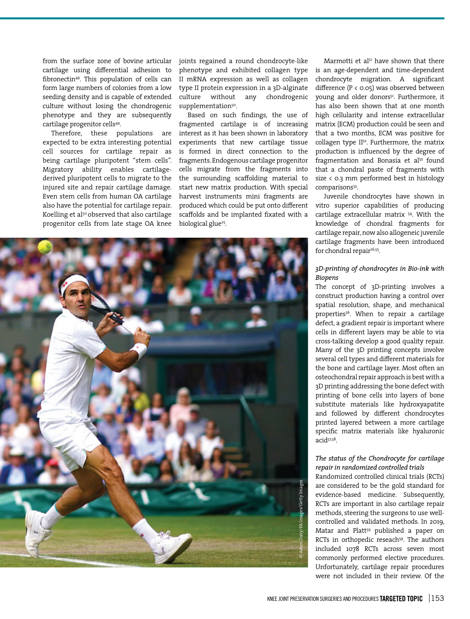from the surface zone of bovine articular cartilage using differential adhesion to fibronectin49. This population of cells can form large numbers of colonies from a low seeding density and is capable of extended culture without losing the chondrogenic phenotype and they are subsequently cartilage progenitor cells49.

Therefore, these populations are expected to be extra interesting potential cell sources for cartilage repair as being cartilage pluripotent "stem cells". Migratory ability enables cartilagederived pluripotent cells to migrate to the injured site and repair cartilage damage. Even stem cells from human OA cartilage also have the potential for cartilage repair. Koelling et al<sup>50</sup> observed that also cartilage progenitor cells from late stage OA knee joints regained a round chondrocyte-like phenotype and exhibited collagen type II mRNA expression as well as collagen type II protein expression in a 3D-alginate culture without any chondrogenic supplementation<sup>50</sup>.

Based on such findings, the use of fragmented cartilage is of increasing interest as it has been shown in laboratory experiments that new cartilage tissue is formed in direct connection to the fragments. Endogenous cartilage progenitor cells migrate from the fragments into the surrounding scaffolding material to start new matrix production. With special harvest instruments mini fragments are produced which could be put onto different scaffolds and be implanted fixated with a biological glue<sup>25</sup>.



Marmotti et  $a^{51}$  have shown that there is an age-dependent and time-dependent chondrocyte migration. A significant difference (P < 0.05) was observed between young and older donors<sup>51</sup>. Furthermore, it has also been shown that at one month high cellularity and intense extracellular matrix (ECM) production could be seen and that a two months, ECM was positive for collagen type II<sup>52</sup>. Furthermore, the matrix production is influenced by the degree of fragmentation and Bonasia et al<sup>53</sup> found that a chondral paste of fragments with size < 0.3 mm performed best in histology comparisons<sup>53</sup>.

Juvenile chondrocytes have shown in vitro superior capabilities of producing cartilage extracellular matrix 54. With the knowledge of chondral fragments for cartilage repair, now also allogeneic juvenile cartilage fragments have been introduced for chondral repair<sup>26,55</sup>.

# *3D-printing of chondrocytes in Bio-ink with Biopens*

The concept of 3D-printing involves a construct production having a control over spatial resolution, shape, and mechanical properties<sup>56</sup>. When to repair a cartilage defect, a gradient repair is important where cells in different layers may be able to via cross-talking develop a good quality repair. Many of the 3D printing concepts involve several cell types and different materials for the bone and cartilage layer. Most often an osteochondral repair approach is best with a 3D printing addressing the bone defect with printing of bone cells into layers of bone substitute materials like hydroxyapatite and followed by different chondrocytes printed layered between a more cartilage specific matrix materials like hyaluronic acid57,58.

#### *The status of the Chondrocyte for cartilage repair in randomized controlled trials*

Randomized controlled clinical trials (RCTs) are considered to be the gold standard for evidence-based medicine. Subsequently, RCTs are important in also cartilage repair methods, steering the surgeons to use wellcontrolled and validated methods. In 2019, Matar and Platt<sup>59</sup> published a paper on RCTs in orthopedic reseach<sup>59</sup>. The authors included 1078 RCTs across seven most commonly performed elective procedures. Unfortunately, cartilage repair procedures were not included in their review. Of the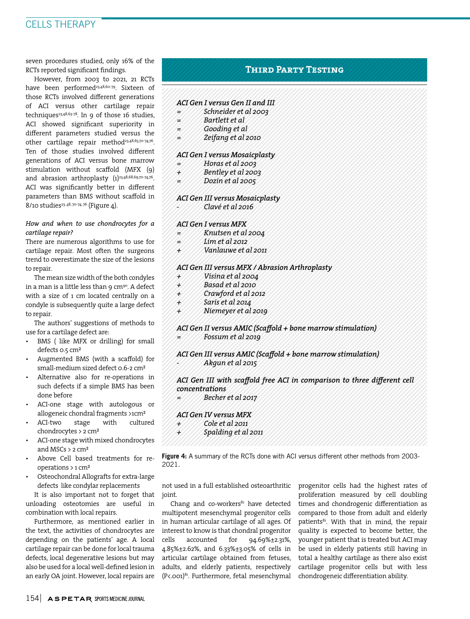# CELLS THERAPY

seven procedures studied, only 16% of the RCTs reported significant findings.

However, from 2003 to 2021, 21 RCTs have been performed<sup>23,48,60-79</sup>. Sixteen of those RCTs involved different generations of ACI versus other cartilage repair techniques<sup>23,48,63-78</sup>. In 9 of those 16 studies, ACI showed significant superiority in different parameters studied versus the other cartilage repair method<sup>23,48,65,70-74,76</sup>. Ten of those studies involved different generations of ACI versus bone marrow stimulation without scaffold (MFX (9) and abrasion arthroplasty  $(1)^{23,48,68,69,70-74,76}$ . ACI was significantly better in different parameters than BMS without scaffold in 8/10 studies<sup>23, 48, 70-74, 76</sup> (Figure 4).

#### *How and when to use chondrocytes for a cartilage repair?*

There are numerous algorithms to use for cartilage repair. Most often the surgeons trend to overestimate the size of the lesions to repair.

The mean size width of the both condyles in a man is a little less than 9  $cm<sup>90</sup>$ . A defect with a size of 1 cm located centrally on a condyle is subsequently quite a large defect to repair.

The authors' suggestions of methods to use for a cartilage defect are:

- BMS ( like MFX or drilling) for small defects 0.5 cm²
- Augmented BMS (with a scaffold) for small-medium sized defect 0.6-2 cm²
- Alternative also for re-operations in such defects if a simple BMS has been done before
- ACI-one stage with autologous or allogeneic chondral fragments >1cm²
- ACI-two stage with cultured chondrocytes > 2 cm²
- ACI-one stage with mixed chondrocytes and MSCs > 2 cm²
- Above Cell based treatments for reoperations > 1 cm²
- Osteochondral Allografts for extra-large defects like condylar replacements

It is also important not to forget that unloading osteotomies are useful in combination with local repairs.

Furthermore, as mentioned earlier in the text, the activities of chondrocytes are depending on the patients' age. A local cartilage repair can be done for local trauma defects, local degenerative lesions but may also be used for a local well-defined lesion in an early OA joint. However, local repairs are

# **Third Party Testing**

#### *ACI Gen I versus Gen II and III*

- *= Schneider et al 2003*
- *= Bartlett et al*
- *= Gooding et al*
- *= Zeifang et al 2010*

#### *ACI Gen I versus Mosaicplasty*

- *= Horas et al 2003*
- *+ Bentley et al 2003*
- *= Dozin et al 2005*

#### *ACI Gen III versus Mosaicplasty*

*- Clavé et al 2016*

#### *ACI Gen I versus MFX*

- *= Knutsen et al 2004*
- *= Lim et al 2012*
- *+ Vanlauwe et al 2011*

#### *ACI Gen III versus MFX / Abrasion Arthroplasty*

- *+ Visina et al 2004*
- *+ Basad et al 2010*
- *+ Crawford et al 2012*
- *+ Saris et al 2014*
- *+ Niemeyer et al 2019*

#### *ACI Gen II versus AMIC (Scaffold + bone marrow stimulation) = Fossum et al 2019*

# *ACI Gen III versus AMIC (Scaffold + bone marrow stimulation) - Akgun et al 2015*

## ACI Gen III with scaffold free ACI in comparison to three different cell *concentrations*

Becher et al 2017

# *ACI Gen IV versus MFX*

- *+ Cole et al 2011 + Spalding et al 2011*
- 

Figure 4: A summary of the RCTs done with ACI versus different other methods from 2003-2021.

not used in a full established osteoarthritic joint.

Chang and co-workers<sup>81</sup> have detected multipotent mesenchymal progenitor cells in human articular cartilage of all ages. Of interest to know is that chondral progenitor cells accounted for 94.69%±2.31%, 4.85%±2.62%, and 6.33%±3.05% of cells in articular cartilage obtained from fetuses, adults, and elderly patients, respectively (P<.001)81. Furthermore, fetal mesenchymal progenitor cells had the highest rates of proliferation measured by cell doubling times and chondrogenic differentiation as compared to those from adult and elderly patients<sup>81</sup>. With that in mind, the repair quality is expected to become better, the younger patient that is treated but ACI may be used in elderly patients still having in total a healthy cartilage as there also exist cartilage progenitor cells but with less chondrogeneic differentiation ability.